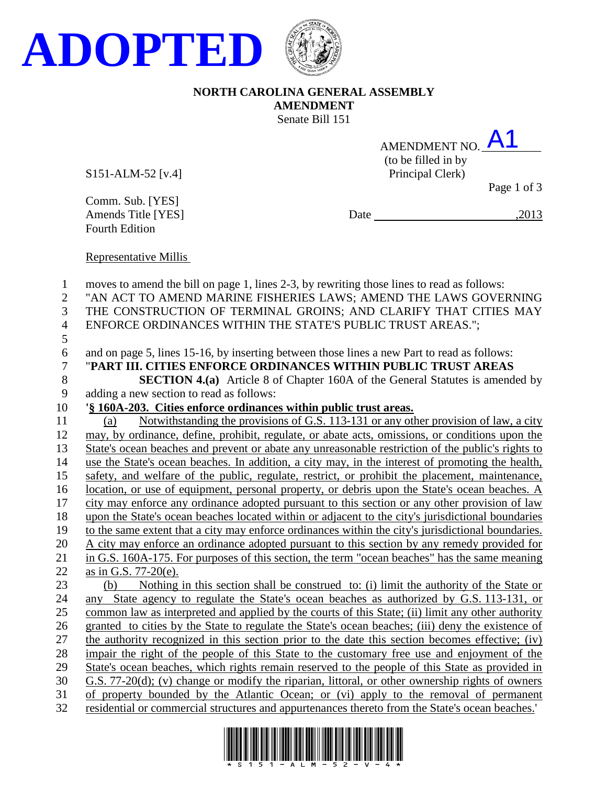



## **NORTH CAROLINA GENERAL ASSEMBLY AMENDMENT** Senate Bill 151

| AMENDMENT NO. $\overline{A}$ 1 |  |
|--------------------------------|--|
| (to be filled in by            |  |

S151-ALM-52 [v.4] Principal Clerk)

Page 1 of 3

Comm. Sub. [YES]<br>Amends Title [YES] Fourth Edition

Date  $\frac{2013}{ }$ 

Representative Millis

| $\mathbf{1}$   | moves to amend the bill on page 1, lines 2-3, by rewriting those lines to read as follows:         |
|----------------|----------------------------------------------------------------------------------------------------|
| $\mathbf{2}$   | "AN ACT TO AMEND MARINE FISHERIES LAWS; AMEND THE LAWS GOVERNING                                   |
| 3              | THE CONSTRUCTION OF TERMINAL GROINS; AND CLARIFY THAT CITIES MAY                                   |
| $\overline{4}$ | ENFORCE ORDINANCES WITHIN THE STATE'S PUBLIC TRUST AREAS.";                                        |
| 5              |                                                                                                    |
| 6              | and on page 5, lines 15-16, by inserting between those lines a new Part to read as follows:        |
| $\overline{7}$ | "PART III. CITIES ENFORCE ORDINANCES WITHIN PUBLIC TRUST AREAS                                     |
| 8              | <b>SECTION 4.(a)</b> Article 8 of Chapter 160A of the General Statutes is amended by               |
| 9              | adding a new section to read as follows:                                                           |
| 10             | '§ 160A-203. Cities enforce ordinances within public trust areas.                                  |
| 11             | Notwithstanding the provisions of G.S. 113-131 or any other provision of law, a city<br>(a)        |
| 12             | may, by ordinance, define, prohibit, regulate, or abate acts, omissions, or conditions upon the    |
| 13             | State's ocean beaches and prevent or abate any unreasonable restriction of the public's rights to  |
| 14             | use the State's ocean beaches. In addition, a city may, in the interest of promoting the health,   |
| 15             | safety, and welfare of the public, regulate, restrict, or prohibit the placement, maintenance,     |
| 16             | location, or use of equipment, personal property, or debris upon the State's ocean beaches. A      |
| 17             | city may enforce any ordinance adopted pursuant to this section or any other provision of law      |
| 18             | upon the State's ocean beaches located within or adjacent to the city's jurisdictional boundaries  |
| 19             | to the same extent that a city may enforce ordinances within the city's jurisdictional boundaries. |
| 20             | A city may enforce an ordinance adopted pursuant to this section by any remedy provided for        |
| 21             | in G.S. 160A-175. For purposes of this section, the term "ocean beaches" has the same meaning      |
| 22             | as in G.S. 77-20(e).                                                                               |
| 23             | Nothing in this section shall be construed to: (i) limit the authority of the State or<br>(b)      |
| 24             | State agency to regulate the State's ocean beaches as authorized by G.S. 113-131, or<br>any        |
| 25             | common law as interpreted and applied by the courts of this State; (ii) limit any other authority  |
| 26             | granted to cities by the State to regulate the State's ocean beaches; (iii) deny the existence of  |
| 27             | the authority recognized in this section prior to the date this section becomes effective; (iv)    |
| 28             | impair the right of the people of this State to the customary free use and enjoyment of the        |
| 29             | State's ocean beaches, which rights remain reserved to the people of this State as provided in     |
| 30             | G.S. 77-20(d); (v) change or modify the riparian, littoral, or other ownership rights of owners    |
| 31             | of property bounded by the Atlantic Ocean; or (vi) apply to the removal of permanent               |
| 32             | residential or commercial structures and appurtenances thereto from the State's ocean beaches.'    |
|                |                                                                                                    |

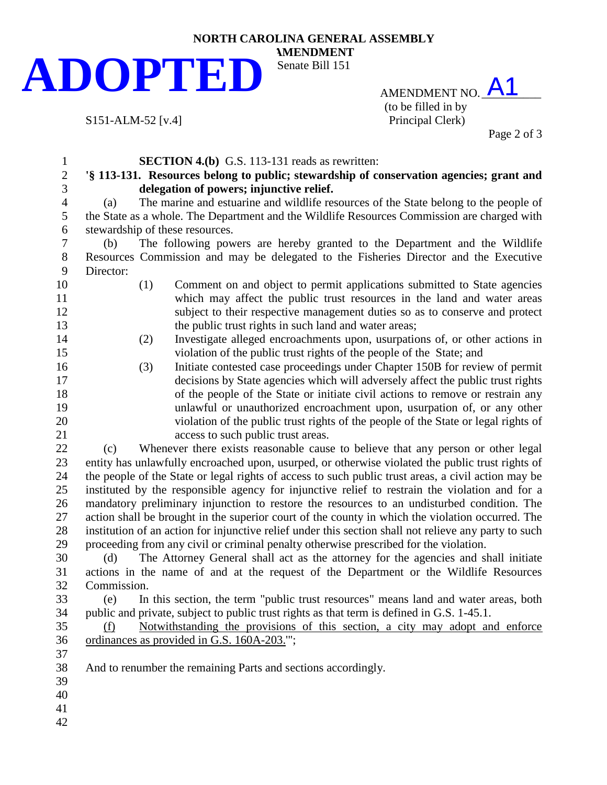## **NORTH CAROLINA GENERAL ASSEMBLY AMENDMENT** Senate Bill 151 **ADOPTED**

S151-ALM-52 [v.4]

AMENDMENT NO. A1 (to be filled in by<br>Principal Clerk)

Page 2 of 3

| $\mathbf{1}$     | <b>SECTION 4.(b)</b> G.S. 113-131 reads as rewritten:                                                 |  |  |  |  |
|------------------|-------------------------------------------------------------------------------------------------------|--|--|--|--|
| $\overline{c}$   | '§ 113-131. Resources belong to public; stewardship of conservation agencies; grant and               |  |  |  |  |
| 3                | delegation of powers; injunctive relief.                                                              |  |  |  |  |
| $\overline{4}$   | The marine and estuarine and wildlife resources of the State belong to the people of<br>(a)           |  |  |  |  |
| 5                | the State as a whole. The Department and the Wildlife Resources Commission are charged with           |  |  |  |  |
| 6                | stewardship of these resources.                                                                       |  |  |  |  |
| $\boldsymbol{7}$ | The following powers are hereby granted to the Department and the Wildlife<br>(b)                     |  |  |  |  |
| $8\,$            | Resources Commission and may be delegated to the Fisheries Director and the Executive                 |  |  |  |  |
| 9                | Director:                                                                                             |  |  |  |  |
| 10               | (1)<br>Comment on and object to permit applications submitted to State agencies                       |  |  |  |  |
| 11               | which may affect the public trust resources in the land and water areas                               |  |  |  |  |
| 12               | subject to their respective management duties so as to conserve and protect                           |  |  |  |  |
| 13               | the public trust rights in such land and water areas;                                                 |  |  |  |  |
| 14               | Investigate alleged encroachments upon, usurpations of, or other actions in<br>(2)                    |  |  |  |  |
| 15               | violation of the public trust rights of the people of the State; and                                  |  |  |  |  |
| 16               | Initiate contested case proceedings under Chapter 150B for review of permit<br>(3)                    |  |  |  |  |
| 17               | decisions by State agencies which will adversely affect the public trust rights                       |  |  |  |  |
| 18               | of the people of the State or initiate civil actions to remove or restrain any                        |  |  |  |  |
| 19               | unlawful or unauthorized encroachment upon, usurpation of, or any other                               |  |  |  |  |
| 20               | violation of the public trust rights of the people of the State or legal rights of                    |  |  |  |  |
| 21               | access to such public trust areas.                                                                    |  |  |  |  |
| 22               | Whenever there exists reasonable cause to believe that any person or other legal<br>(c)               |  |  |  |  |
| 23               | entity has unlawfully encroached upon, usurped, or otherwise violated the public trust rights of      |  |  |  |  |
| 24               | the people of the State or legal rights of access to such public trust areas, a civil action may be   |  |  |  |  |
| 25               | instituted by the responsible agency for injunctive relief to restrain the violation and for a        |  |  |  |  |
| 26               | mandatory preliminary injunction to restore the resources to an undisturbed condition. The            |  |  |  |  |
| 27<br>28         | action shall be brought in the superior court of the county in which the violation occurred. The      |  |  |  |  |
| 29               | institution of an action for injunctive relief under this section shall not relieve any party to such |  |  |  |  |
| 30               | proceeding from any civil or criminal penalty otherwise prescribed for the violation.                 |  |  |  |  |
| 31               | The Attorney General shall act as the attorney for the agencies and shall initiate<br>(d)             |  |  |  |  |
| 32               | actions in the name of and at the request of the Department or the Wildlife Resources<br>Commission.  |  |  |  |  |
| 33               | (e) In this section, the term "public trust resources" means land and water areas, both               |  |  |  |  |
| 34               | public and private, subject to public trust rights as that term is defined in G.S. 1-45.1.            |  |  |  |  |
| 35               | Notwithstanding the provisions of this section, a city may adopt and enforce<br>(f)                   |  |  |  |  |
| 36               | ordinances as provided in G.S. 160A-203."';                                                           |  |  |  |  |
| 37               |                                                                                                       |  |  |  |  |
| 38               | And to renumber the remaining Parts and sections accordingly.                                         |  |  |  |  |
| 39               |                                                                                                       |  |  |  |  |
| 40               |                                                                                                       |  |  |  |  |
| 41               |                                                                                                       |  |  |  |  |
| 42               |                                                                                                       |  |  |  |  |